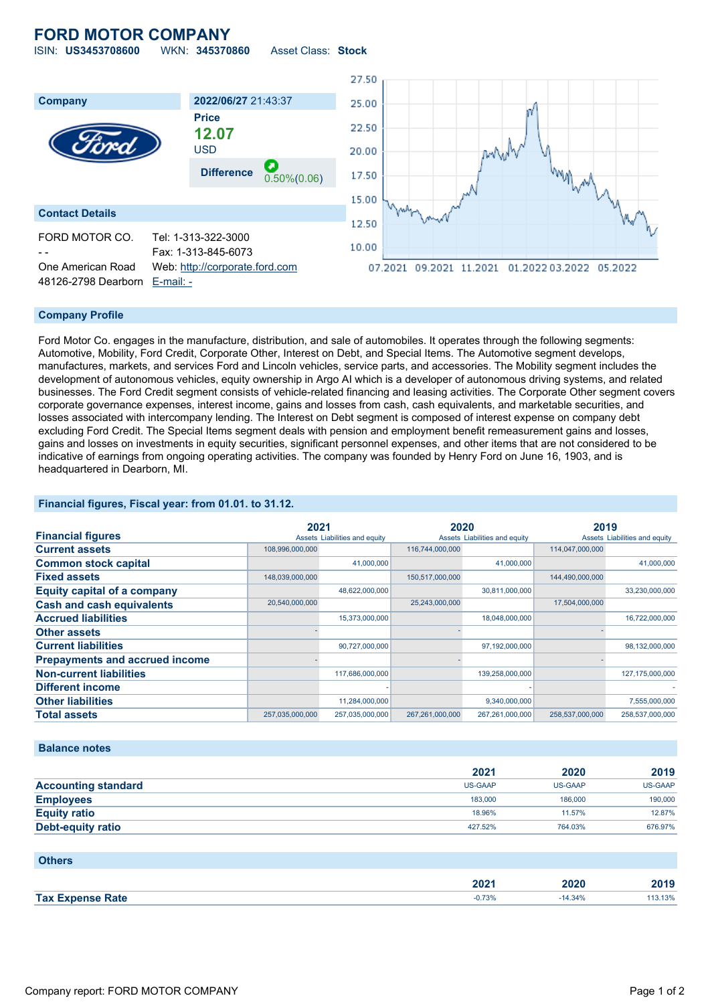# **FORD MOTOR COMPANY**



### **Company Profile**

Ford Motor Co. engages in the manufacture, distribution, and sale of automobiles. It operates through the following segments: Automotive, Mobility, Ford Credit, Corporate Other, Interest on Debt, and Special Items. The Automotive segment develops, manufactures, markets, and services Ford and Lincoln vehicles, service parts, and accessories. The Mobility segment includes the development of autonomous vehicles, equity ownership in Argo AI which is a developer of autonomous driving systems, and related businesses. The Ford Credit segment consists of vehicle-related financing and leasing activities. The Corporate Other segment covers corporate governance expenses, interest income, gains and losses from cash, cash equivalents, and marketable securities, and losses associated with intercompany lending. The Interest on Debt segment is composed of interest expense on company debt excluding Ford Credit. The Special Items segment deals with pension and employment benefit remeasurement gains and losses, gains and losses on investments in equity securities, significant personnel expenses, and other items that are not considered to be indicative of earnings from ongoing operating activities. The company was founded by Henry Ford on June 16, 1903, and is headquartered in Dearborn, MI.

## **Financial figures, Fiscal year: from 01.01. to 31.12.**

|                                       | 2021            |                               | 2020            |                               |                 | 2019                          |
|---------------------------------------|-----------------|-------------------------------|-----------------|-------------------------------|-----------------|-------------------------------|
| <b>Financial figures</b>              |                 | Assets Liabilities and equity |                 | Assets Liabilities and equity |                 | Assets Liabilities and equity |
| <b>Current assets</b>                 | 108,996,000,000 |                               | 116,744,000,000 |                               | 114,047,000,000 |                               |
| <b>Common stock capital</b>           |                 | 41,000,000                    |                 | 41,000,000                    |                 | 41,000,000                    |
| <b>Fixed assets</b>                   | 148,039,000,000 |                               | 150,517,000,000 |                               | 144,490,000,000 |                               |
| <b>Equity capital of a company</b>    |                 | 48,622,000,000                |                 | 30,811,000,000                |                 | 33,230,000,000                |
| <b>Cash and cash equivalents</b>      | 20,540,000,000  |                               | 25,243,000,000  |                               | 17,504,000,000  |                               |
| <b>Accrued liabilities</b>            |                 | 15,373,000,000                |                 | 18,048,000,000                |                 | 16,722,000,000                |
| <b>Other assets</b>                   |                 |                               |                 |                               |                 |                               |
| <b>Current liabilities</b>            |                 | 90,727,000,000                |                 | 97,192,000,000                |                 | 98,132,000,000                |
| <b>Prepayments and accrued income</b> |                 |                               |                 |                               |                 |                               |
| <b>Non-current liabilities</b>        |                 | 117,686,000,000               |                 | 139,258,000,000               |                 | 127,175,000,000               |
| <b>Different income</b>               |                 |                               |                 |                               |                 |                               |
| <b>Other liabilities</b>              |                 | 11,284,000,000                |                 | 9,340,000,000                 |                 | 7,555,000,000                 |
| <b>Total assets</b>                   | 257.035.000.000 | 257,035,000,000               | 267.261.000.000 | 267.261.000.000               | 258.537.000.000 | 258.537.000.000               |

#### **Balance notes**

|                            | 2021    | 2020    | 2019    |
|----------------------------|---------|---------|---------|
| <b>Accounting standard</b> | US-GAAP | US-GAAP | US-GAAP |
| <b>Employees</b>           | 183,000 | 186,000 | 190,000 |
| <b>Equity ratio</b>        | 18.96%  | 11.57%  | 12.87%  |
| Debt-equity ratio          | 427.52% | 764.03% | 676.97% |

| <b>Others</b>           |                  |           |         |
|-------------------------|------------------|-----------|---------|
|                         | 202 <sub>1</sub> | 2020      | 2019    |
| <b>Tax Expense Rate</b> | $-0.73%$         | $-14.34%$ | 113.13% |